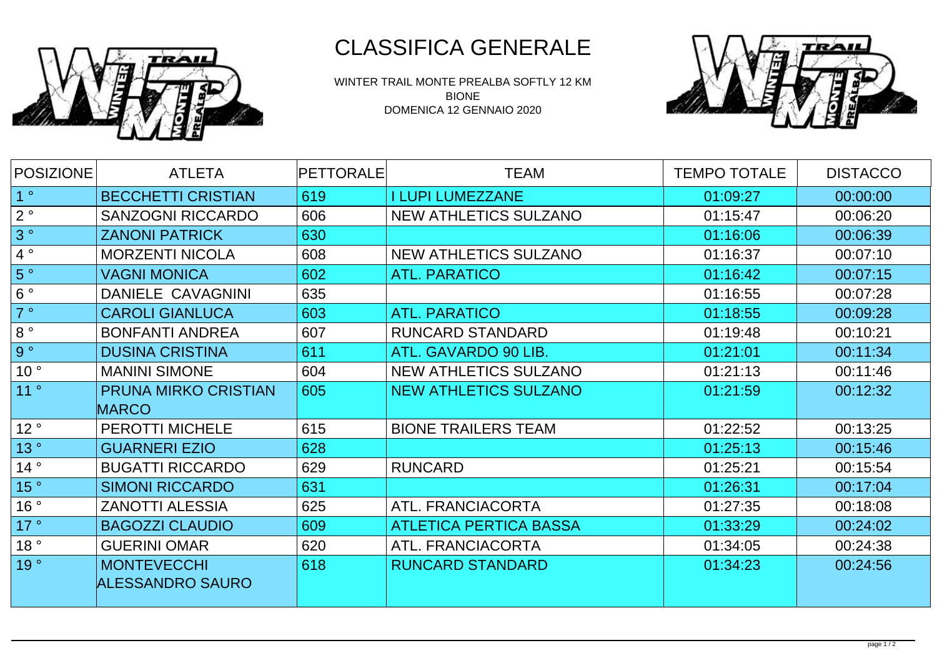

WINTER TRAIL MONTE PREALBA SOFTLY 12 KM BIONE DOMENICA 12 GENNAIO 2020



| <b>POSIZIONE</b> | <b>ATLETA</b>                               | <b>PETTORALE</b> | <b>TEAM</b>                   | <b>TEMPO TOTALE</b> | <b>DISTACCO</b> |
|------------------|---------------------------------------------|------------------|-------------------------------|---------------------|-----------------|
| 1 <sup>°</sup>   | <b>BECCHETTI CRISTIAN</b>                   | 619              | <b>I LUPI LUMEZZANE</b>       | 01:09:27            | 00:00:00        |
| 2°               | <b>SANZOGNI RICCARDO</b>                    | 606              | <b>NEW ATHLETICS SULZANO</b>  | 01:15:47            | 00:06:20        |
| 3°               | <b>ZANONI PATRICK</b>                       | 630              |                               | 01:16:06            | 00:06:39        |
| 4°               | <b>MORZENTI NICOLA</b>                      | 608              | <b>NEW ATHLETICS SULZANO</b>  | 01:16:37            | 00:07:10        |
| 5°               | <b>VAGNI MONICA</b>                         | 602              | <b>ATL. PARATICO</b>          | 01:16:42            | 00:07:15        |
| 6°               | DANIELE CAVAGNINI                           | 635              |                               | 01:16:55            | 00:07:28        |
| 7°               | <b>CAROLI GIANLUCA</b>                      | 603              | <b>ATL. PARATICO</b>          | 01:18:55            | 00:09:28        |
| $8^{\circ}$      | <b>BONFANTI ANDREA</b>                      | 607              | <b>RUNCARD STANDARD</b>       | 01:19:48            | 00:10:21        |
| 9°               | <b>DUSINA CRISTINA</b>                      | 611              | ATL. GAVARDO 90 LIB.          | 01:21:01            | 00:11:34        |
| 10 <sup>°</sup>  | <b>MANINI SIMONE</b>                        | 604              | <b>NEW ATHLETICS SULZANO</b>  | 01:21:13            | 00:11:46        |
| 11°              | <b>PRUNA MIRKO CRISTIAN</b><br><b>MARCO</b> | 605              | <b>NEW ATHLETICS SULZANO</b>  | 01:21:59            | 00:12:32        |
| 12°              | <b>PEROTTI MICHELE</b>                      | 615              | <b>BIONE TRAILERS TEAM</b>    | 01:22:52            | 00:13:25        |
| 13°              | <b>GUARNERI EZIO</b>                        | 628              |                               | 01:25:13            | 00:15:46        |
| 14°              | <b>BUGATTI RICCARDO</b>                     | 629              | <b>RUNCARD</b>                | 01:25:21            | 00:15:54        |
| 15 <sup>°</sup>  | <b>SIMONI RICCARDO</b>                      | 631              |                               | 01:26:31            | 00:17:04        |
| 16°              | <b>ZANOTTI ALESSIA</b>                      | 625              | ATL. FRANCIACORTA             | 01:27:35            | 00:18:08        |
| 17°              | <b>BAGOZZI CLAUDIO</b>                      | 609              | <b>ATLETICA PERTICA BASSA</b> | 01:33:29            | 00:24:02        |
| 18°              | <b>GUERINI OMAR</b>                         | 620              | ATL. FRANCIACORTA             | 01:34:05            | 00:24:38        |
| 19°              | <b>MONTEVECCHI</b><br>ALESSANDRO SAURO      | 618              | <b>RUNCARD STANDARD</b>       | 01:34:23            | 00:24:56        |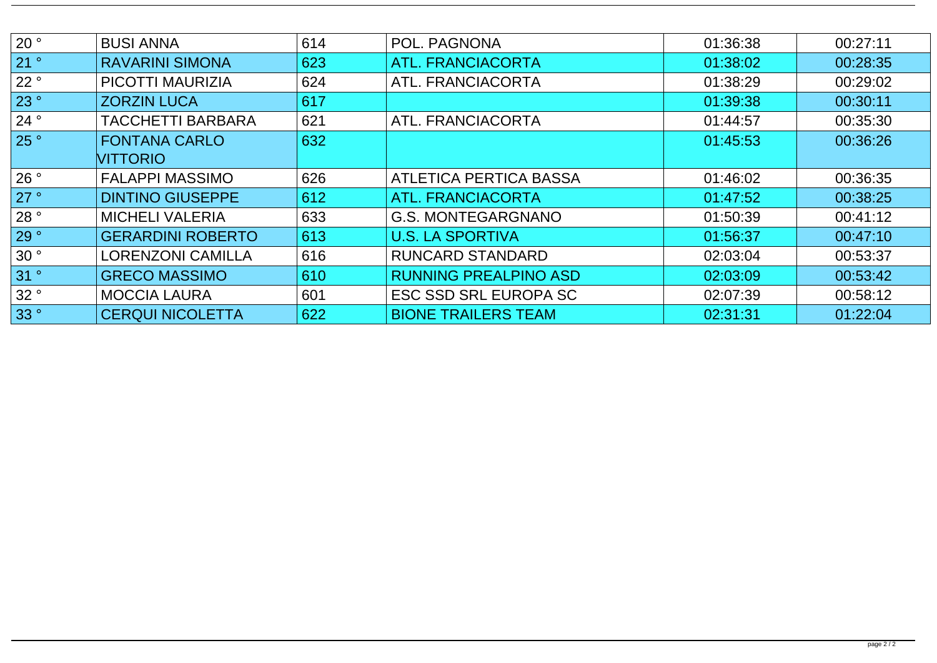| 20°  | <b>BUSI ANNA</b>         | 614 | POL. PAGNONA                  | 01:36:38 | 00:27:11 |
|------|--------------------------|-----|-------------------------------|----------|----------|
|      |                          |     |                               |          |          |
| 21°  | <b>RAVARINI SIMONA</b>   | 623 | <b>ATL. FRANCIACORTA</b>      | 01:38:02 | 00:28:35 |
| 22°  | <b>PICOTTI MAURIZIA</b>  | 624 | ATL. FRANCIACORTA             | 01:38:29 | 00:29:02 |
| 23 ° | <b>ZORZIN LUCA</b>       | 617 |                               | 01:39:38 | 00:30:11 |
| 24 ° | <b>TACCHETTI BARBARA</b> | 621 | ATL. FRANCIACORTA             | 01:44:57 | 00:35:30 |
| 25°  | <b>FONTANA CARLO</b>     | 632 |                               | 01:45:53 | 00:36:26 |
|      | <b>VITTORIO</b>          |     |                               |          |          |
| 26°  | <b>FALAPPI MASSIMO</b>   | 626 | <b>ATLETICA PERTICA BASSA</b> | 01:46:02 | 00:36:35 |
| 27°  | <b>DINTINO GIUSEPPE</b>  | 612 | <b>ATL. FRANCIACORTA</b>      | 01:47:52 | 00:38:25 |
| 28°  | <b>MICHELI VALERIA</b>   | 633 | <b>G.S. MONTEGARGNANO</b>     | 01:50:39 | 00:41:12 |
| 29°  | <b>GERARDINI ROBERTO</b> | 613 | <b>U.S. LA SPORTIVA</b>       | 01:56:37 | 00:47:10 |
| 30°  | <b>LORENZONI CAMILLA</b> | 616 | <b>RUNCARD STANDARD</b>       | 02:03:04 | 00:53:37 |
| 31°  | <b>GRECO MASSIMO</b>     | 610 | <b>RUNNING PREALPINO ASD</b>  | 02:03:09 | 00:53:42 |
| 32°  | <b>MOCCIA LAURA</b>      | 601 | <b>ESC SSD SRL EUROPA SC</b>  | 02:07:39 | 00:58:12 |
| 33°  | <b>CERQUI NICOLETTA</b>  | 622 | <b>BIONE TRAILERS TEAM</b>    | 02:31:31 | 01:22:04 |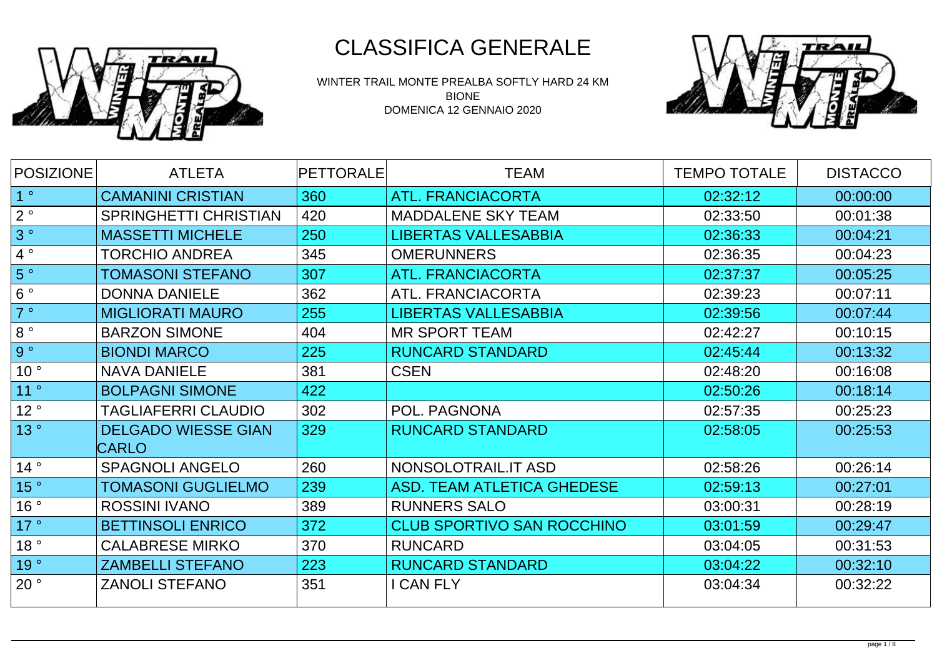

WINTER TRAIL MONTE PREALBA SOFTLY HARD 24 KM BIONE DOMENICA 12 GENNAIO 2020



| <b>POSIZIONE</b> | <b>ATLETA</b>                | <b>PETTORALE</b> | <b>TEAM</b>                       | <b>TEMPO TOTALE</b> | <b>DISTACCO</b> |
|------------------|------------------------------|------------------|-----------------------------------|---------------------|-----------------|
| 1 <sup>°</sup>   | <b>CAMANINI CRISTIAN</b>     | 360              | <b>ATL. FRANCIACORTA</b>          | 02:32:12            | 00:00:00        |
| $2^{\circ}$      | <b>SPRINGHETTI CHRISTIAN</b> | 420              | <b>MADDALENE SKY TEAM</b>         | 02:33:50            | 00:01:38        |
| 3°               | <b>MASSETTI MICHELE</b>      | 250              | <b>LIBERTAS VALLESABBIA</b>       | 02:36:33            | 00:04:21        |
| $4^{\circ}$      | <b>TORCHIO ANDREA</b>        | 345              | <b>OMERUNNERS</b>                 | 02:36:35            | 00:04:23        |
| 5°               | TOMASONI STEFANO             | 307              | <b>ATL. FRANCIACORTA</b>          | 02:37:37            | 00:05:25        |
| $6^{\circ}$      | <b>DONNA DANIELE</b>         | 362              | <b>ATL. FRANCIACORTA</b>          | 02:39:23            | 00:07:11        |
| 7°               | <b>MIGLIORATI MAURO</b>      | 255              | <b>LIBERTAS VALLESABBIA</b>       | 02:39:56            | 00:07:44        |
| $8^{\circ}$      | <b>BARZON SIMONE</b>         | 404              | <b>MR SPORT TEAM</b>              | 02:42:27            | 00:10:15        |
| 9°               | <b>BIONDI MARCO</b>          | 225              | <b>RUNCARD STANDARD</b>           | 02:45:44            | 00:13:32        |
| 10 <sup>°</sup>  | <b>NAVA DANIELE</b>          | 381              | <b>CSEN</b>                       | 02:48:20            | 00:16:08        |
| 11°              | <b>BOLPAGNI SIMONE</b>       | 422              |                                   | 02:50:26            | 00:18:14        |
| 12°              | TAGLIAFERRI CLAUDIO          | 302              | POL. PAGNONA                      | 02:57:35            | 00:25:23        |
| 13°              | <b>DELGADO WIESSE GIAN</b>   | 329              | <b>RUNCARD STANDARD</b>           | 02:58:05            | 00:25:53        |
|                  | <b>CARLO</b>                 |                  |                                   |                     |                 |
| 14°              | <b>SPAGNOLI ANGELO</b>       | 260              | NONSOLOTRAIL.IT ASD               | 02:58:26            | 00:26:14        |
| 15°              | TOMASONI GUGLIELMO           | 239              | <b>ASD. TEAM ATLETICA GHEDESE</b> | 02:59:13            | 00:27:01        |
| 16°              | <b>ROSSINI IVANO</b>         | 389              | <b>RUNNERS SALO</b>               | 03:00:31            | 00:28:19        |
| 17°              | <b>BETTINSOLI ENRICO</b>     | 372              | CLUB SPORTIVO SAN ROCCHINO        | 03:01:59            | 00:29:47        |
| 18°              | <b>CALABRESE MIRKO</b>       | 370              | <b>RUNCARD</b>                    | 03:04:05            | 00:31:53        |
| 19°              | <b>ZAMBELLI STEFANO</b>      | 223              | <b>RUNCARD STANDARD</b>           | 03:04:22            | 00:32:10        |
| 20°              | <b>ZANOLI STEFANO</b>        | 351              | I CAN FLY                         | 03:04:34            | 00:32:22        |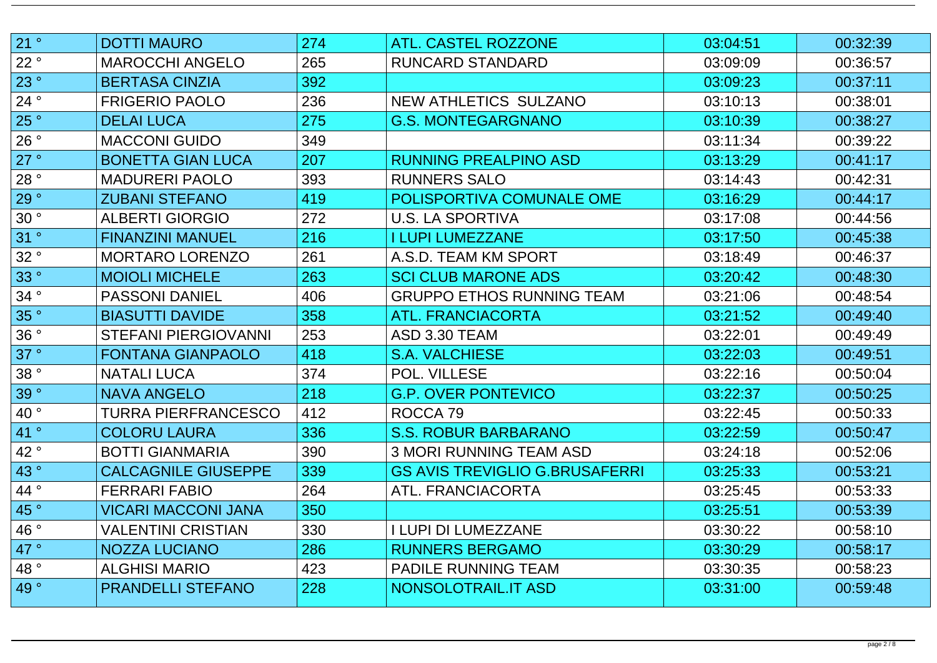| 21 °                  | <b>DOTTI MAURO</b>          | 274 | <b>ATL. CASTEL ROZZONE</b>            | 03:04:51 | 00:32:39 |
|-----------------------|-----------------------------|-----|---------------------------------------|----------|----------|
| 22°                   | <b>MAROCCHI ANGELO</b>      | 265 | <b>RUNCARD STANDARD</b>               | 03:09:09 | 00:36:57 |
| 23 °                  | <b>BERTASA CINZIA</b>       | 392 |                                       | 03:09:23 | 00:37:11 |
| 24°                   | <b>FRIGERIO PAOLO</b>       | 236 | NEW ATHLETICS SULZANO                 | 03:10:13 | 00:38:01 |
| 25°                   | <b>DELAI LUCA</b>           | 275 | <b>G.S. MONTEGARGNANO</b>             | 03:10:39 | 00:38:27 |
| 26°                   | <b>MACCONI GUIDO</b>        | 349 |                                       | 03:11:34 | 00:39:22 |
| 27 °                  | <b>BONETTA GIAN LUCA</b>    | 207 | <b>RUNNING PREALPINO ASD</b>          | 03:13:29 | 00:41:17 |
| 28°                   | <b>MADURERI PAOLO</b>       | 393 | <b>RUNNERS SALO</b>                   | 03:14:43 | 00:42:31 |
| 29°                   | <b>ZUBANI STEFANO</b>       | 419 | POLISPORTIVA COMUNALE OME             | 03:16:29 | 00:44:17 |
| 30°                   | <b>ALBERTI GIORGIO</b>      | 272 | <b>U.S. LA SPORTIVA</b>               | 03:17:08 | 00:44:56 |
| 31°                   | <b>FINANZINI MANUEL</b>     | 216 | <b>I LUPI LUMEZZANE</b>               | 03:17:50 | 00:45:38 |
| 32°                   | MORTARO LORENZO             | 261 | A.S.D. TEAM KM SPORT                  | 03:18:49 | 00:46:37 |
| 33°                   | <b>MOIOLI MICHELE</b>       | 263 | <b>SCI CLUB MARONE ADS</b>            | 03:20:42 | 00:48:30 |
| 34°                   | <b>PASSONI DANIEL</b>       | 406 | <b>GRUPPO ETHOS RUNNING TEAM</b>      | 03:21:06 | 00:48:54 |
| 35°                   | <b>BIASUTTI DAVIDE</b>      | 358 | <b>ATL. FRANCIACORTA</b>              | 03:21:52 | 00:49:40 |
| 36°                   | <b>STEFANI PIERGIOVANNI</b> | 253 | ASD 3.30 TEAM                         | 03:22:01 | 00:49:49 |
| 37°                   | <b>FONTANA GIANPAOLO</b>    | 418 | <b>S.A. VALCHIESE</b>                 | 03:22:03 | 00:49:51 |
| 38°                   | <b>NATALI LUCA</b>          | 374 | POL. VILLESE                          | 03:22:16 | 00:50:04 |
| 39°                   | <b>NAVA ANGELO</b>          | 218 | <b>G.P. OVER PONTEVICO</b>            | 03:22:37 | 00:50:25 |
| $\vert$ 40 $^{\circ}$ | TURRA PIERFRANCESCO         | 412 | ROCCA <sub>79</sub>                   | 03:22:45 | 00:50:33 |
| 41°                   | <b>COLORU LAURA</b>         | 336 | <b>S.S. ROBUR BARBARANO</b>           | 03:22:59 | 00:50:47 |
| 42°                   | <b>BOTTI GIANMARIA</b>      | 390 | 3 MORI RUNNING TEAM ASD               | 03:24:18 | 00:52:06 |
| 43°                   | <b>CALCAGNILE GIUSEPPE</b>  | 339 | <b>GS AVIS TREVIGLIO G.BRUSAFERRI</b> | 03:25:33 | 00:53:21 |
| 44°                   | <b>FERRARI FABIO</b>        | 264 | <b>ATL. FRANCIACORTA</b>              | 03:25:45 | 00:53:33 |
| 45°                   | VICARI MACCONI JANA         | 350 |                                       | 03:25:51 | 00:53:39 |
| 46°                   | VALENTINI CRISTIAN          | 330 | <b>I LUPI DI LUMEZZANE</b>            | 03:30:22 | 00:58:10 |
| 47°                   | <b>NOZZA LUCIANO</b>        | 286 | <b>RUNNERS BERGAMO</b>                | 03:30:29 | 00:58:17 |
| 48°                   | <b>ALGHISI MARIO</b>        | 423 | <b>PADILE RUNNING TEAM</b>            | 03:30:35 | 00:58:23 |
| 49°                   | <b>PRANDELLI STEFANO</b>    | 228 | NONSOLOTRAIL.IT ASD                   | 03:31:00 | 00:59:48 |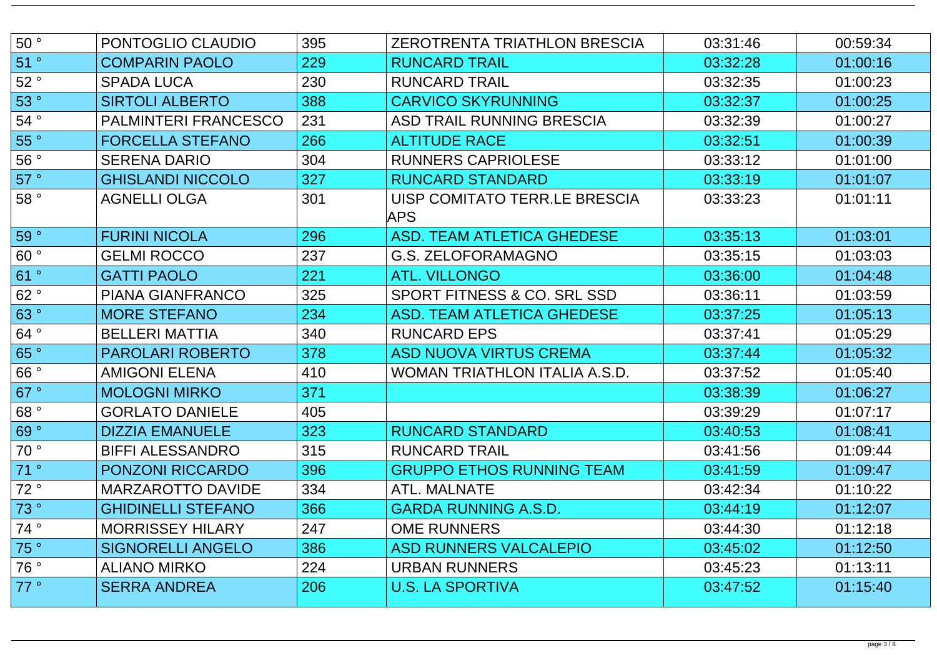| 50°  | PONTOGLIO CLAUDIO           | 395 | <b>ZEROTRENTA TRIATHLON BRESCIA</b>   | 03:31:46 | 00:59:34 |
|------|-----------------------------|-----|---------------------------------------|----------|----------|
| 51 ° | <b>COMPARIN PAOLO</b>       | 229 | <b>RUNCARD TRAIL</b>                  | 03:32:28 | 01:00:16 |
| 52°  | <b>SPADA LUCA</b>           | 230 | <b>RUNCARD TRAIL</b>                  | 03:32:35 | 01:00:23 |
| 53°  | <b>SIRTOLI ALBERTO</b>      | 388 | <b>CARVICO SKYRUNNING</b>             | 03:32:37 | 01:00:25 |
| 54°  | <b>PALMINTERI FRANCESCO</b> | 231 | <b>ASD TRAIL RUNNING BRESCIA</b>      | 03:32:39 | 01:00:27 |
| 55°  | <b>FORCELLA STEFANO</b>     | 266 | <b>ALTITUDE RACE</b>                  | 03:32:51 | 01:00:39 |
| 56°  | <b>SERENA DARIO</b>         | 304 | <b>RUNNERS CAPRIOLESE</b>             | 03:33:12 | 01:01:00 |
| 57°  | <b>GHISLANDI NICCOLO</b>    | 327 | <b>RUNCARD STANDARD</b>               | 03:33:19 | 01:01:07 |
| 58°  | <b>AGNELLI OLGA</b>         | 301 | UISP COMITATO TERR.LE BRESCIA<br>APS. | 03:33:23 | 01:01:11 |
| 59°  | <b>FURINI NICOLA</b>        | 296 | ASD. TEAM ATLETICA GHEDESE            | 03:35:13 | 01:03:01 |
| 60°  | <b>GELMI ROCCO</b>          | 237 | G.S. ZELOFORAMAGNO                    | 03:35:15 | 01:03:03 |
| 61°  | <b>GATTI PAOLO</b>          | 221 | <b>ATL. VILLONGO</b>                  | 03:36:00 | 01:04:48 |
| 62°  | <b>PIANA GIANFRANCO</b>     | 325 | SPORT FITNESS & CO. SRL SSD           | 03:36:11 | 01:03:59 |
| 63°  | <b>MORE STEFANO</b>         | 234 | <b>ASD. TEAM ATLETICA GHEDESE</b>     | 03:37:25 | 01:05:13 |
| 64°  | <b>BELLERI MATTIA</b>       | 340 | <b>RUNCARD EPS</b>                    | 03:37:41 | 01:05:29 |
| 65°  | <b>PAROLARI ROBERTO</b>     | 378 | <b>ASD NUOVA VIRTUS CREMA</b>         | 03:37:44 | 01:05:32 |
| 66°  | <b>AMIGONI ELENA</b>        | 410 | WOMAN TRIATHLON ITALIA A.S.D.         | 03:37:52 | 01:05:40 |
| 67°  | <b>MOLOGNI MIRKO</b>        | 371 |                                       | 03:38:39 | 01:06:27 |
| 68°  | <b>GORLATO DANIELE</b>      | 405 |                                       | 03:39:29 | 01:07:17 |
| 69°  | <b>DIZZIA EMANUELE</b>      | 323 | <b>RUNCARD STANDARD</b>               | 03:40:53 | 01:08:41 |
| 70°  | <b>BIFFI ALESSANDRO</b>     | 315 | <b>RUNCARD TRAIL</b>                  | 03:41:56 | 01:09:44 |
| 71°  | <b>PONZONI RICCARDO</b>     | 396 | <b>GRUPPO ETHOS RUNNING TEAM</b>      | 03:41:59 | 01:09:47 |
| 72°  | <b>MARZAROTTO DAVIDE</b>    | 334 | ATL. MALNATE                          | 03:42:34 | 01:10:22 |
| 73°  | <b>GHIDINELLI STEFANO</b>   | 366 | <b>GARDA RUNNING A.S.D.</b>           | 03:44:19 | 01:12:07 |
| 74°  | <b>MORRISSEY HILARY</b>     | 247 | <b>OME RUNNERS</b>                    | 03:44:30 | 01:12:18 |
| 75°  | <b>SIGNORELLI ANGELO</b>    | 386 | <b>ASD RUNNERS VALCALEPIO</b>         | 03:45:02 | 01:12:50 |
| 76 ° | <b>ALIANO MIRKO</b>         | 224 | <b>URBAN RUNNERS</b>                  | 03:45:23 | 01:13:11 |
| 77°  | <b>SERRA ANDREA</b>         | 206 | <b>U.S. LA SPORTIVA</b>               | 03:47:52 | 01:15:40 |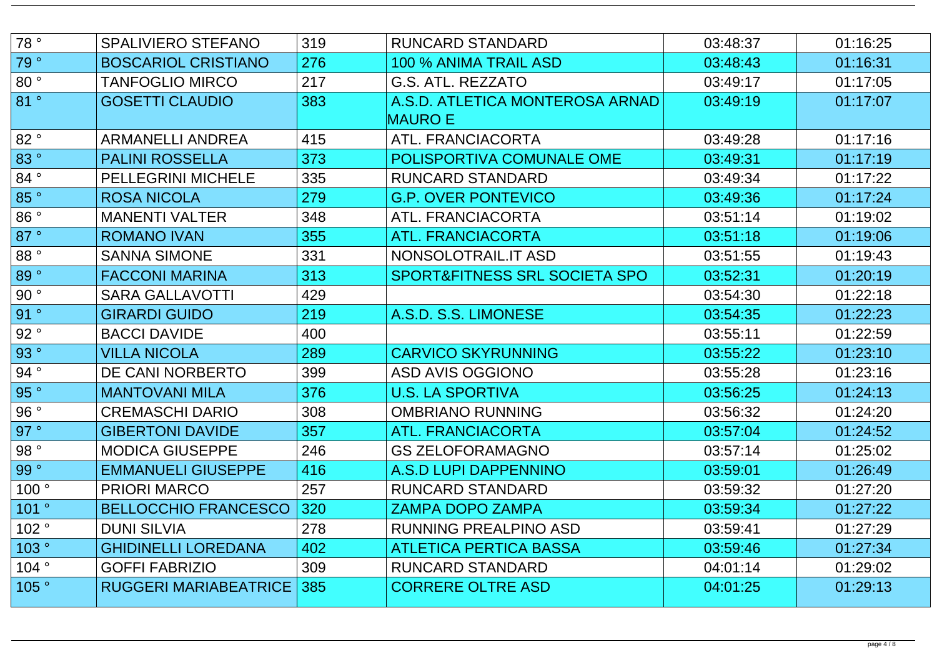| 78°  | <b>SPALIVIERO STEFANO</b>    | 319 | <b>RUNCARD STANDARD</b>                           | 03:48:37 | 01:16:25 |
|------|------------------------------|-----|---------------------------------------------------|----------|----------|
| 79°  | <b>BOSCARIOL CRISTIANO</b>   | 276 | 100 % ANIMA TRAIL ASD                             | 03:48:43 | 01:16:31 |
| 80°  | <b>TANFOGLIO MIRCO</b>       | 217 | G.S. ATL. REZZATO                                 | 03:49:17 | 01:17:05 |
| 81°  | <b>GOSETTI CLAUDIO</b>       | 383 | A.S.D. ATLETICA MONTEROSA ARNAD<br><b>MAURO E</b> | 03:49:19 | 01:17:07 |
| 82°  | <b>ARMANELLI ANDREA</b>      | 415 | <b>ATL. FRANCIACORTA</b>                          | 03:49:28 | 01:17:16 |
| 83°  | <b>PALINI ROSSELLA</b>       | 373 | POLISPORTIVA COMUNALE OME                         | 03:49:31 | 01:17:19 |
| 84°  | <b>PELLEGRINI MICHELE</b>    | 335 | <b>RUNCARD STANDARD</b>                           | 03:49:34 | 01:17:22 |
| 85°  | <b>ROSA NICOLA</b>           | 279 | <b>G.P. OVER PONTEVICO</b>                        | 03:49:36 | 01:17:24 |
| 86°  | <b>MANENTI VALTER</b>        | 348 | ATL. FRANCIACORTA                                 | 03:51:14 | 01:19:02 |
| 87°  | <b>ROMANO IVAN</b>           | 355 | <b>ATL. FRANCIACORTA</b>                          | 03:51:18 | 01:19:06 |
| 88°  | <b>SANNA SIMONE</b>          | 331 | NONSOLOTRAIL.IT ASD                               | 03:51:55 | 01:19:43 |
| 89°  | <b>FACCONI MARINA</b>        | 313 | SPORT&FITNESS SRL SOCIETA SPO                     | 03:52:31 | 01:20:19 |
| 90°  | <b>SARA GALLAVOTTI</b>       | 429 |                                                   | 03:54:30 | 01:22:18 |
| 91°  | <b>GIRARDI GUIDO</b>         | 219 | A.S.D. S.S. LIMONESE                              | 03:54:35 | 01:22:23 |
| 92°  | <b>BACCI DAVIDE</b>          | 400 |                                                   | 03:55:11 | 01:22:59 |
| 93°  | <b>VILLA NICOLA</b>          | 289 | <b>CARVICO SKYRUNNING</b>                         | 03:55:22 | 01:23:10 |
| 94°  | DE CANI NORBERTO             | 399 | <b>ASD AVIS OGGIONO</b>                           | 03:55:28 | 01:23:16 |
| 95°  | <b>MANTOVANI MILA</b>        | 376 | <b>U.S. LA SPORTIVA</b>                           | 03:56:25 | 01:24:13 |
| 96°  | <b>CREMASCHI DARIO</b>       | 308 | <b>OMBRIANO RUNNING</b>                           | 03:56:32 | 01:24:20 |
| 97°  | <b>GIBERTONI DAVIDE</b>      | 357 | <b>ATL. FRANCIACORTA</b>                          | 03:57:04 | 01:24:52 |
| 98°  | <b>MODICA GIUSEPPE</b>       | 246 | <b>GS ZELOFORAMAGNO</b>                           | 03:57:14 | 01:25:02 |
| 99°  | <b>EMMANUELI GIUSEPPE</b>    | 416 | A.S.D LUPI DAPPENNINO                             | 03:59:01 | 01:26:49 |
| 100° | <b>PRIORI MARCO</b>          | 257 | RUNCARD STANDARD                                  | 03:59:32 | 01:27:20 |
| 101° | <b>BELLOCCHIO FRANCESCO</b>  | 320 | <b>ZAMPA DOPO ZAMPA</b>                           | 03:59:34 | 01:27:22 |
| 102° | <b>DUNI SILVIA</b>           | 278 | RUNNING PREALPINO ASD                             | 03:59:41 | 01:27:29 |
| 103° | <b>GHIDINELLI LOREDANA</b>   | 402 | ATLETICA PERTICA BASSA                            | 03:59:46 | 01:27:34 |
| 104° | <b>GOFFI FABRIZIO</b>        | 309 | RUNCARD STANDARD                                  | 04:01:14 | 01:29:02 |
| 105° | <b>RUGGERI MARIABEATRICE</b> | 385 | <b>CORRERE OLTRE ASD</b>                          | 04:01:25 | 01:29:13 |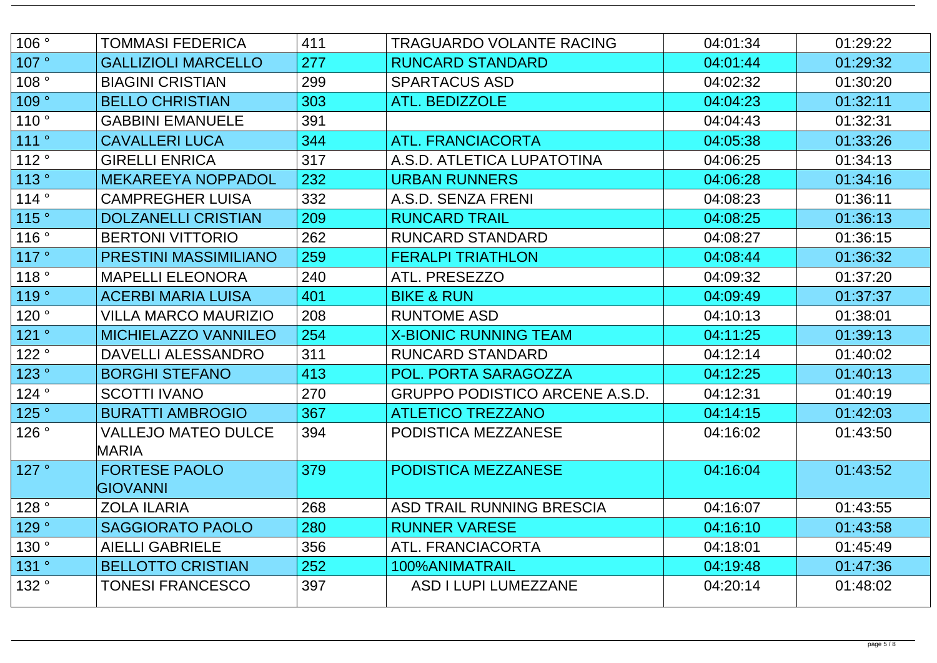| 106° | TOMMASI FEDERICA             | 411 | TRAGUARDO VOLANTE RACING              | 04:01:34 | 01:29:22 |
|------|------------------------------|-----|---------------------------------------|----------|----------|
| 107° | <b>GALLIZIOLI MARCELLO</b>   | 277 | <b>RUNCARD STANDARD</b>               | 04:01:44 | 01:29:32 |
| 108° | <b>BIAGINI CRISTIAN</b>      | 299 | <b>SPARTACUS ASD</b>                  | 04:02:32 | 01:30:20 |
| 109° | <b>BELLO CHRISTIAN</b>       | 303 | <b>ATL. BEDIZZOLE</b>                 | 04:04:23 | 01:32:11 |
| 110° | <b>GABBINI EMANUELE</b>      | 391 |                                       | 04:04:43 | 01:32:31 |
| 111° | <b>CAVALLERI LUCA</b>        | 344 | <b>ATL. FRANCIACORTA</b>              | 04:05:38 | 01:33:26 |
| 112° | <b>GIRELLI ENRICA</b>        | 317 | A.S.D. ATLETICA LUPATOTINA            | 04:06:25 | 01:34:13 |
| 113° | <b>MEKAREEYA NOPPADOL</b>    | 232 | <b>URBAN RUNNERS</b>                  | 04:06:28 | 01:34:16 |
| 114° | <b>CAMPREGHER LUISA</b>      | 332 | A.S.D. SENZA FRENI                    | 04:08:23 | 01:36:11 |
| 115° | <b>DOLZANELLI CRISTIAN</b>   | 209 | <b>RUNCARD TRAIL</b>                  | 04:08:25 | 01:36:13 |
| 116° | <b>BERTONI VITTORIO</b>      | 262 | <b>RUNCARD STANDARD</b>               | 04:08:27 | 01:36:15 |
| 117° | <b>PRESTINI MASSIMILIANO</b> | 259 | <b>FERALPI TRIATHLON</b>              | 04:08:44 | 01:36:32 |
| 118° | <b>MAPELLI ELEONORA</b>      | 240 | ATL. PRESEZZO                         | 04:09:32 | 01:37:20 |
| 119° | <b>ACERBI MARIA LUISA</b>    | 401 | <b>BIKE &amp; RUN</b>                 | 04:09:49 | 01:37:37 |
| 120° | <b>VILLA MARCO MAURIZIO</b>  | 208 | <b>RUNTOME ASD</b>                    | 04:10:13 | 01:38:01 |
| 121° | <b>MICHIELAZZO VANNILEO</b>  | 254 | <b>X-BIONIC RUNNING TEAM</b>          | 04:11:25 | 01:39:13 |
| 122° | DAVELLI ALESSANDRO           | 311 | <b>RUNCARD STANDARD</b>               | 04:12:14 | 01:40:02 |
| 123° | <b>BORGHI STEFANO</b>        | 413 | POL. PORTA SARAGOZZA                  | 04:12:25 | 01:40:13 |
| 124° | <b>SCOTTI IVANO</b>          | 270 | <b>GRUPPO PODISTICO ARCENE A.S.D.</b> | 04:12:31 | 01:40:19 |
| 125° | <b>BURATTI AMBROGIO</b>      | 367 | <b>ATLETICO TREZZANO</b>              | 04:14:15 | 01:42:03 |
| 126° | <b>VALLEJO MATEO DULCE</b>   | 394 | PODISTICA MEZZANESE                   | 04:16:02 | 01:43:50 |
|      | MARIA                        |     |                                       |          |          |
| 127° | <b>FORTESE PAOLO</b>         | 379 | PODISTICA MEZZANESE                   | 04:16:04 | 01:43:52 |
|      | <b>GIOVANNI</b>              |     |                                       |          |          |
| 128° | <b>ZOLA ILARIA</b>           | 268 | ASD TRAIL RUNNING BRESCIA             | 04:16:07 | 01:43:55 |
| 129° | <b>SAGGIORATO PAOLO</b>      | 280 | <b>RUNNER VARESE</b>                  | 04:16:10 | 01:43:58 |
| 130° | <b>AIELLI GABRIELE</b>       | 356 | ATL. FRANCIACORTA                     | 04:18:01 | 01:45:49 |
| 131° | <b>BELLOTTO CRISTIAN</b>     | 252 | 100%ANIMATRAIL                        | 04:19:48 | 01:47:36 |
| 132° | <b>TONESI FRANCESCO</b>      | 397 | ASD I LUPI LUMEZZANE                  | 04:20:14 | 01:48:02 |
|      |                              |     |                                       |          |          |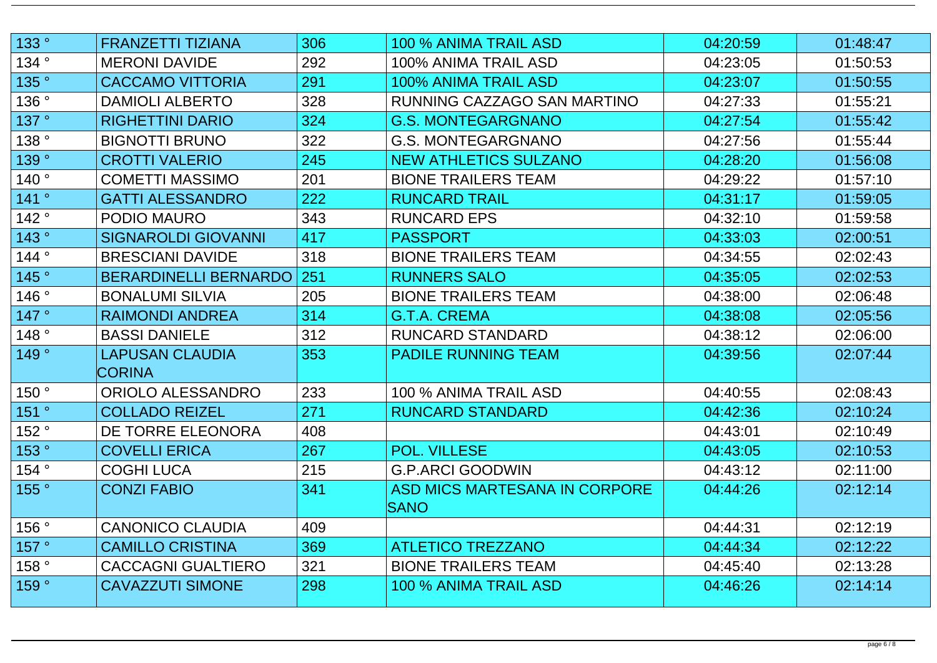| 133°  | <b>FRANZETTI TIZIANA</b>     | 306 | 100 % ANIMA TRAIL ASD         | 04:20:59 | 01:48:47 |
|-------|------------------------------|-----|-------------------------------|----------|----------|
| 134°  | <b>MERONI DAVIDE</b>         | 292 | 100% ANIMA TRAIL ASD          | 04:23:05 | 01:50:53 |
| 135°  | <b>CACCAMO VITTORIA</b>      | 291 | 100% ANIMA TRAIL ASD          | 04:23:07 | 01:50:55 |
| 136°  | <b>DAMIOLI ALBERTO</b>       | 328 | RUNNING CAZZAGO SAN MARTINO   | 04:27:33 | 01:55:21 |
| 137°  | <b>RIGHETTINI DARIO</b>      | 324 | <b>G.S. MONTEGARGNANO</b>     | 04:27:54 | 01:55:42 |
| 138°  | <b>BIGNOTTI BRUNO</b>        | 322 | <b>G.S. MONTEGARGNANO</b>     | 04:27:56 | 01:55:44 |
| 139°  | <b>CROTTI VALERIO</b>        | 245 | <b>NEW ATHLETICS SULZANO</b>  | 04:28:20 | 01:56:08 |
| 140°  | <b>COMETTI MASSIMO</b>       | 201 | <b>BIONE TRAILERS TEAM</b>    | 04:29:22 | 01:57:10 |
| 141°  | <b>GATTI ALESSANDRO</b>      | 222 | <b>RUNCARD TRAIL</b>          | 04:31:17 | 01:59:05 |
| 142°  | <b>PODIO MAURO</b>           | 343 | <b>RUNCARD EPS</b>            | 04:32:10 | 01:59:58 |
| 143°  | <b>SIGNAROLDI GIOVANNI</b>   | 417 | <b>PASSPORT</b>               | 04:33:03 | 02:00:51 |
| 144°  | <b>BRESCIANI DAVIDE</b>      | 318 | <b>BIONE TRAILERS TEAM</b>    | 04:34:55 | 02:02:43 |
| 145°  | <b>BERARDINELLI BERNARDO</b> | 251 | <b>RUNNERS SALO</b>           | 04:35:05 | 02:02:53 |
| 146°  | <b>BONALUMI SILVIA</b>       | 205 | <b>BIONE TRAILERS TEAM</b>    | 04:38:00 | 02:06:48 |
| 147°  | <b>RAIMONDI ANDREA</b>       | 314 | <b>G.T.A. CREMA</b>           | 04:38:08 | 02:05:56 |
| 148°  | <b>BASSI DANIELE</b>         | 312 | <b>RUNCARD STANDARD</b>       | 04:38:12 | 02:06:00 |
| 149°  | <b>LAPUSAN CLAUDIA</b>       | 353 | <b>PADILE RUNNING TEAM</b>    | 04:39:56 | 02:07:44 |
|       | <b>CORINA</b>                |     |                               |          |          |
| 150°  | ORIOLO ALESSANDRO            | 233 | 100 % ANIMA TRAIL ASD         | 04:40:55 | 02:08:43 |
| 151 ° | <b>COLLADO REIZEL</b>        | 271 | <b>RUNCARD STANDARD</b>       | 04:42:36 | 02:10:24 |
| 152°  | DE TORRE ELEONORA            | 408 |                               | 04:43:01 | 02:10:49 |
| 153°  | <b>COVELLI ERICA</b>         | 267 | <b>POL. VILLESE</b>           | 04:43:05 | 02:10:53 |
| 154°  | <b>COGHI LUCA</b>            | 215 | <b>G.P.ARCI GOODWIN</b>       | 04:43:12 | 02:11:00 |
| 155°  | <b>CONZI FABIO</b>           | 341 | ASD MICS MARTESANA IN CORPORE | 04:44:26 | 02:12:14 |
|       |                              |     | <b>SANO</b>                   |          |          |
| 156°  | <b>CANONICO CLAUDIA</b>      | 409 |                               | 04:44:31 | 02:12:19 |
| 157°  | <b>CAMILLO CRISTINA</b>      | 369 | ATLETICO TREZZANO             | 04:44:34 | 02:12:22 |
| 158°  | CACCAGNI GUALTIERO           | 321 | <b>BIONE TRAILERS TEAM</b>    | 04:45:40 | 02:13:28 |
| 159°  | <b>CAVAZZUTI SIMONE</b>      | 298 | 100 % ANIMA TRAIL ASD         | 04:46:26 | 02:14:14 |
|       |                              |     |                               |          |          |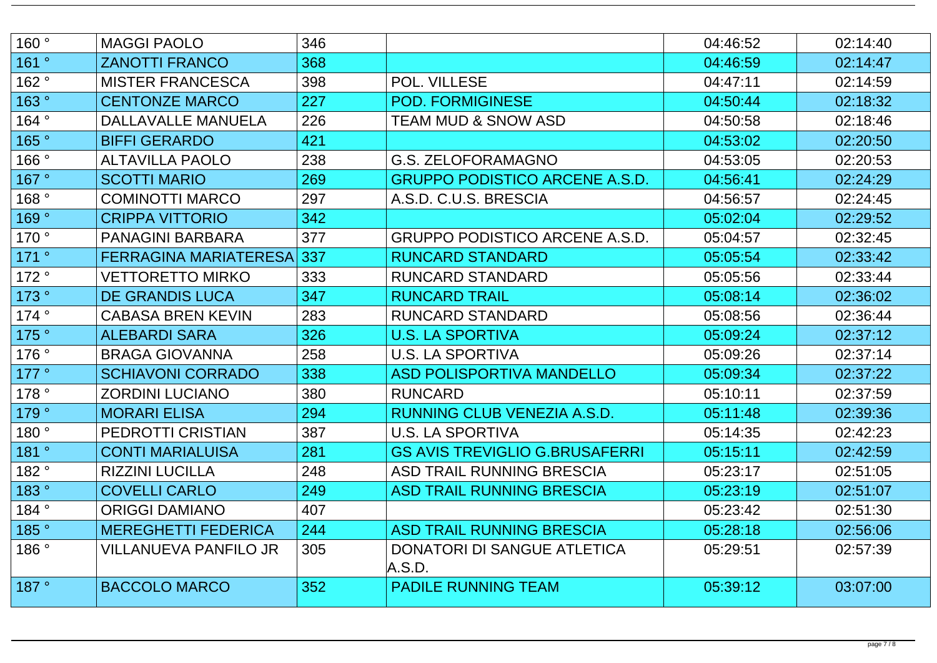| 160° | <b>MAGGI PAOLO</b>               | 346 |                                       | 04:46:52 | 02:14:40 |
|------|----------------------------------|-----|---------------------------------------|----------|----------|
| 161° | <b>ZANOTTI FRANCO</b>            | 368 |                                       | 04:46:59 | 02:14:47 |
| 162° | <b>MISTER FRANCESCA</b>          | 398 | POL. VILLESE                          | 04:47:11 | 02:14:59 |
| 163° | <b>CENTONZE MARCO</b>            | 227 | <b>POD. FORMIGINESE</b>               | 04:50:44 | 02:18:32 |
| 164° | DALLAVALLE MANUELA               | 226 | <b>TEAM MUD &amp; SNOW ASD</b>        | 04:50:58 | 02:18:46 |
| 165° | <b>BIFFI GERARDO</b>             | 421 |                                       | 04:53:02 | 02:20:50 |
| 166° | <b>ALTAVILLA PAOLO</b>           | 238 | G.S. ZELOFORAMAGNO                    | 04:53:05 | 02:20:53 |
| 167° | <b>SCOTTI MARIO</b>              | 269 | <b>GRUPPO PODISTICO ARCENE A.S.D.</b> | 04:56:41 | 02:24:29 |
| 168° | <b>COMINOTTI MARCO</b>           | 297 | A.S.D. C.U.S. BRESCIA                 | 04:56:57 | 02:24:45 |
| 169° | <b>CRIPPA VITTORIO</b>           | 342 |                                       | 05:02:04 | 02:29:52 |
| 170° | <b>PANAGINI BARBARA</b>          | 377 | <b>GRUPPO PODISTICO ARCENE A.S.D.</b> | 05:04:57 | 02:32:45 |
| 171° | <b>FERRAGINA MARIATERESA 337</b> |     | <b>RUNCARD STANDARD</b>               | 05:05:54 | 02:33:42 |
| 172° | <b>VETTORETTO MIRKO</b>          | 333 | <b>RUNCARD STANDARD</b>               | 05:05:56 | 02:33:44 |
| 173° | <b>DE GRANDIS LUCA</b>           | 347 | <b>RUNCARD TRAIL</b>                  | 05:08:14 | 02:36:02 |
| 174° | <b>CABASA BREN KEVIN</b>         | 283 | <b>RUNCARD STANDARD</b>               | 05:08:56 | 02:36:44 |
| 175° | <b>ALEBARDI SARA</b>             | 326 | <b>U.S. LA SPORTIVA</b>               | 05:09:24 | 02:37:12 |
| 176° | <b>BRAGA GIOVANNA</b>            | 258 | <b>U.S. LA SPORTIVA</b>               | 05:09:26 | 02:37:14 |
| 177° | <b>SCHIAVONI CORRADO</b>         | 338 | <b>ASD POLISPORTIVA MANDELLO</b>      | 05:09:34 | 02:37:22 |
| 178° | <b>ZORDINI LUCIANO</b>           | 380 | <b>RUNCARD</b>                        | 05:10:11 | 02:37:59 |
| 179° | <b>MORARI ELISA</b>              | 294 | RUNNING CLUB VENEZIA A.S.D.           | 05:11:48 | 02:39:36 |
| 180° | PEDROTTI CRISTIAN                | 387 | U.S. LA SPORTIVA                      | 05:14:35 | 02:42:23 |
| 181° | <b>CONTI MARIALUISA</b>          | 281 | <b>GS AVIS TREVIGLIO G.BRUSAFERRI</b> | 05:15:11 | 02:42:59 |
| 182° | <b>RIZZINI LUCILLA</b>           | 248 | ASD TRAIL RUNNING BRESCIA             | 05:23:17 | 02:51:05 |
| 183° | <b>COVELLI CARLO</b>             | 249 | <b>ASD TRAIL RUNNING BRESCIA</b>      | 05:23:19 | 02:51:07 |
| 184° | <b>ORIGGI DAMIANO</b>            | 407 |                                       | 05:23:42 | 02:51:30 |
| 185° | <b>MEREGHETTI FEDERICA</b>       | 244 | ASD TRAIL RUNNING BRESCIA             | 05:28:18 | 02:56:06 |
| 186° | VILLANUEVA PANFILO JR            | 305 | DONATORI DI SANGUE ATLETICA<br>A.S.D. | 05:29:51 | 02:57:39 |
| 187° | <b>BACCOLO MARCO</b>             | 352 | <b>PADILE RUNNING TEAM</b>            | 05:39:12 | 03:07:00 |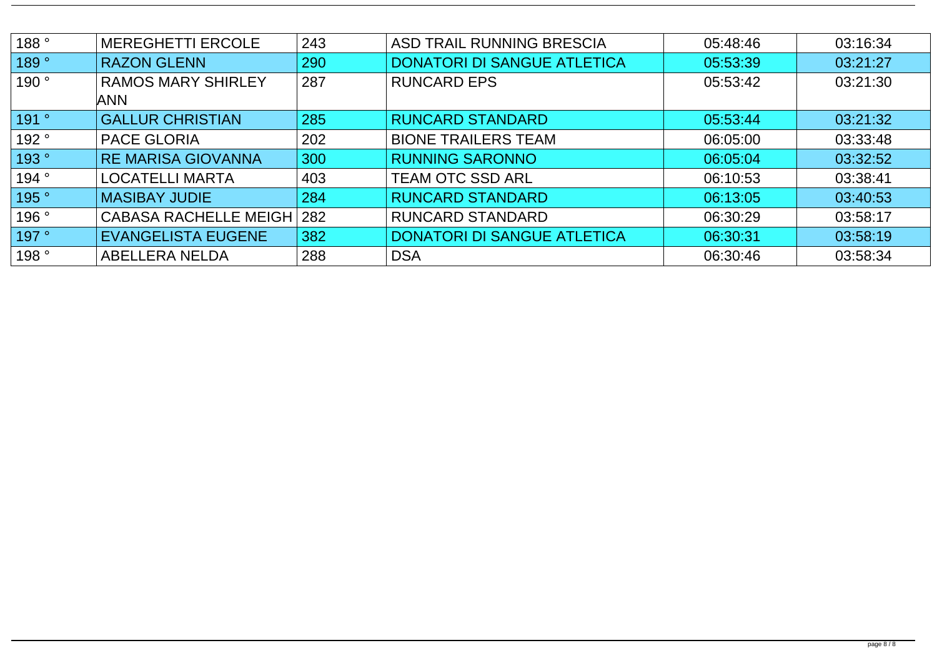| 188° | <b>MEREGHETTI ERCOLE</b>                | 243 | ASD TRAIL RUNNING BRESCIA          | 05:48:46 | 03:16:34 |
|------|-----------------------------------------|-----|------------------------------------|----------|----------|
| 189° | <b>RAZON GLENN</b>                      | 290 | <b>DONATORI DI SANGUE ATLETICA</b> | 05:53:39 | 03:21:27 |
| 190° | <b>RAMOS MARY SHIRLEY</b><br><b>ANN</b> | 287 | <b>RUNCARD EPS</b>                 | 05:53:42 | 03:21:30 |
| 191° | <b>GALLUR CHRISTIAN</b>                 | 285 | <b>RUNCARD STANDARD</b>            | 05:53:44 | 03:21:32 |
| 192° | <b>PACE GLORIA</b>                      | 202 | <b>BIONE TRAILERS TEAM</b>         | 06:05:00 | 03:33:48 |
| 193° | <b>RE MARISA GIOVANNA</b>               | 300 | <b>RUNNING SARONNO</b>             | 06:05:04 | 03:32:52 |
| 194° | <b>LOCATELLI MARTA</b>                  | 403 | <b>TEAM OTC SSD ARL</b>            | 06:10:53 | 03:38:41 |
| 195° | <b>MASIBAY JUDIE</b>                    | 284 | <b>RUNCARD STANDARD</b>            | 06:13:05 | 03:40:53 |
| 196° | <b>CABASA RACHELLE MEIGH</b>            | 282 | <b>RUNCARD STANDARD</b>            | 06:30:29 | 03:58:17 |
| 197° | <b>EVANGELISTA EUGENE</b>               | 382 | <b>DONATORI DI SANGUE ATLETICA</b> | 06:30:31 | 03:58:19 |
| 198° | <b>ABELLERA NELDA</b>                   | 288 | <b>DSA</b>                         | 06:30:46 | 03:58:34 |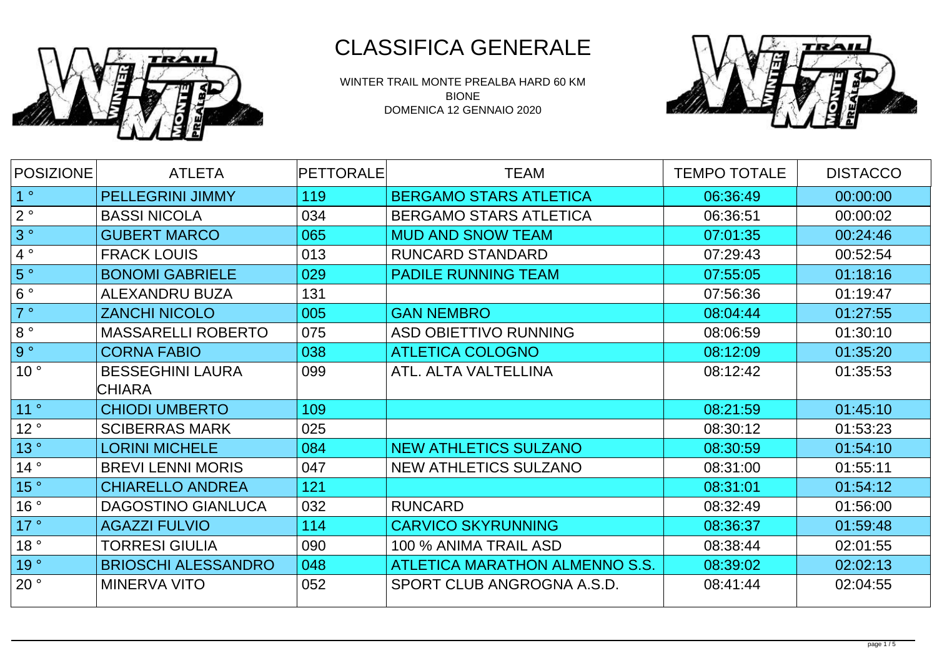

WINTER TRAIL MONTE PREALBA HARD 60 KM BIONE DOMENICA 12 GENNAIO 2020



| POSIZIONE       | <b>ATLETA</b>              | <b>PETTORALE</b> | <b>TEAM</b>                    | <b>TEMPO TOTALE</b> | <b>DISTACCO</b> |
|-----------------|----------------------------|------------------|--------------------------------|---------------------|-----------------|
| 1 <sup>°</sup>  | <b>PELLEGRINI JIMMY</b>    | 119              | <b>BERGAMO STARS ATLETICA</b>  | 06:36:49            | 00:00:00        |
| $2^{\circ}$     | <b>BASSI NICOLA</b>        | 034              | <b>BERGAMO STARS ATLETICA</b>  | 06:36:51            | 00:00:02        |
| 3°              | <b>GUBERT MARCO</b>        | 065              | <b>MUD AND SNOW TEAM</b>       | 07:01:35            | 00:24:46        |
| 4°              | <b>FRACK LOUIS</b>         | 013              | <b>RUNCARD STANDARD</b>        | 07:29:43            | 00:52:54        |
| 5°              | <b>BONOMI GABRIELE</b>     | 029              | <b>PADILE RUNNING TEAM</b>     | 07:55:05            | 01:18:16        |
| $6^{\circ}$     | <b>ALEXANDRU BUZA</b>      | 131              |                                | 07:56:36            | 01:19:47        |
| 7°              | <b>ZANCHI NICOLO</b>       | 005              | <b>GAN NEMBRO</b>              | 08:04:44            | 01:27:55        |
| $8^{\circ}$     | <b>MASSARELLI ROBERTO</b>  | 075              | <b>ASD OBIETTIVO RUNNING</b>   | 08:06:59            | 01:30:10        |
| g。              | <b>CORNA FABIO</b>         | 038              | <b>ATLETICA COLOGNO</b>        | 08:12:09            | 01:35:20        |
| 10 <sup>°</sup> | <b>BESSEGHINI LAURA</b>    | 099              | ATL. ALTA VALTELLINA           | 08:12:42            | 01:35:53        |
|                 | <b>CHIARA</b>              |                  |                                |                     |                 |
| 11 °            | <b>CHIODI UMBERTO</b>      | 109              |                                | 08:21:59            | 01:45:10        |
| 12°             | <b>SCIBERRAS MARK</b>      | 025              |                                | 08:30:12            | 01:53:23        |
| 13°             | <b>LORINI MICHELE</b>      | 084              | <b>NEW ATHLETICS SULZANO</b>   | 08:30:59            | 01:54:10        |
| 14°             | <b>BREVILENNI MORIS</b>    | 047              | NEW ATHLETICS SULZANO          | 08:31:00            | 01:55:11        |
| 15°             | <b>CHIARELLO ANDREA</b>    | 121              |                                | 08:31:01            | 01:54:12        |
| 16°             | <b>DAGOSTINO GIANLUCA</b>  | 032              | <b>RUNCARD</b>                 | 08:32:49            | 01:56:00        |
| 17°             | <b>AGAZZI FULVIO</b>       | 114              | <b>CARVICO SKYRUNNING</b>      | 08:36:37            | 01:59:48        |
| 18°             | TORRESI GIULIA             | 090              | 100 % ANIMA TRAIL ASD          | 08:38:44            | 02:01:55        |
| 19°             | <b>BRIOSCHI ALESSANDRO</b> | 048              | ATLETICA MARATHON ALMENNO S.S. | 08:39:02            | 02:02:13        |
| 20°             | MINERVA VITO               | 052              | SPORT CLUB ANGROGNA A.S.D.     | 08:41:44            | 02:04:55        |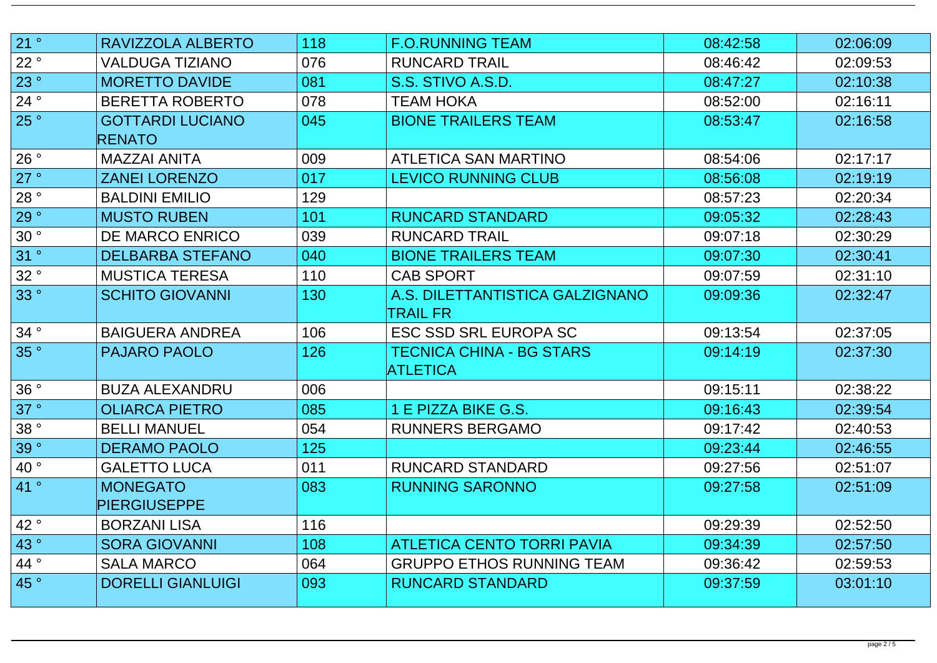| 21°                  | RAVIZZOLA ALBERTO        | 118 | <b>F.O.RUNNING TEAM</b>           | 08:42:58 | 02:06:09 |
|----------------------|--------------------------|-----|-----------------------------------|----------|----------|
| 22 °                 | <b>VALDUGA TIZIANO</b>   | 076 | <b>RUNCARD TRAIL</b>              | 08:46:42 | 02:09:53 |
| 23°                  | <b>MORETTO DAVIDE</b>    | 081 | S.S. STIVO A.S.D.                 | 08:47:27 | 02:10:38 |
| 24°                  | <b>BERETTA ROBERTO</b>   | 078 | TEAM HOKA                         | 08:52:00 | 02:16:11 |
| 25°                  | <b>GOTTARDI LUCIANO</b>  | 045 | <b>BIONE TRAILERS TEAM</b>        | 08:53:47 | 02:16:58 |
|                      | <b>RENATO</b>            |     |                                   |          |          |
| 26°                  | <b>MAZZAI ANITA</b>      | 009 | ATLETICA SAN MARTINO              | 08:54:06 | 02:17:17 |
| 27°                  | <b>ZANEI LORENZO</b>     | 017 | <b>LEVICO RUNNING CLUB</b>        | 08:56:08 | 02:19:19 |
| 28°                  | <b>BALDINI EMILIO</b>    | 129 |                                   | 08:57:23 | 02:20:34 |
| 29°                  | <b>MUSTO RUBEN</b>       | 101 | <b>RUNCARD STANDARD</b>           | 09:05:32 | 02:28:43 |
| 30°                  | DE MARCO ENRICO          | 039 | <b>RUNCARD TRAIL</b>              | 09:07:18 | 02:30:29 |
| 31°                  | <b>DELBARBA STEFANO</b>  | 040 | <b>BIONE TRAILERS TEAM</b>        | 09:07:30 | 02:30:41 |
| 32°                  | <b>MUSTICA TERESA</b>    | 110 | <b>CAB SPORT</b>                  | 09:07:59 | 02:31:10 |
| 33°                  | <b>SCHITO GIOVANNI</b>   | 130 | A.S. DILETTANTISTICA GALZIGNANO   | 09:09:36 | 02:32:47 |
|                      |                          |     | TRAIL FR                          |          |          |
| 34°                  | <b>BAIGUERA ANDREA</b>   | 106 | <b>ESC SSD SRL EUROPA SC</b>      | 09:13:54 | 02:37:05 |
| 35°                  | <b>PAJARO PAOLO</b>      | 126 | TECNICA CHINA - BG STARS          | 09:14:19 | 02:37:30 |
|                      |                          |     | <b>ATLETICA</b>                   |          |          |
| 36°                  | <b>BUZA ALEXANDRU</b>    | 006 |                                   | 09:15:11 | 02:38:22 |
| 37°                  | <b>OLIARCA PIETRO</b>    | 085 | E PIZZA BIKE G.S.                 | 09:16:43 | 02:39:54 |
| 38°                  | <b>BELLI MANUEL</b>      | 054 | <b>RUNNERS BERGAMO</b>            | 09:17:42 | 02:40:53 |
| 39°                  | <b>DERAMO PAOLO</b>      | 125 |                                   | 09:23:44 | 02:46:55 |
| 40°                  | <b>GALETTO LUCA</b>      | 011 | <b>RUNCARD STANDARD</b>           | 09:27:56 | 02:51:07 |
| 41°                  | <b>MONEGATO</b>          | 083 | <b>RUNNING SARONNO</b>            | 09:27:58 | 02:51:09 |
|                      | <b>PIERGIUSEPPE</b>      |     |                                   |          |          |
| 42°                  | <b>BORZANI LISA</b>      | 116 |                                   | 09:29:39 | 02:52:50 |
| 43°                  | <b>SORA GIOVANNI</b>     | 108 | <b>ATLETICA CENTO TORRI PAVIA</b> | 09:34:39 | 02:57:50 |
| $\mid$ 44 $^{\circ}$ | <b>SALA MARCO</b>        | 064 | <b>GRUPPO ETHOS RUNNING TEAM</b>  | 09:36:42 | 02:59:53 |
| 45°                  | <b>DORELLI GIANLUIGI</b> | 093 | <b>RUNCARD STANDARD</b>           | 09:37:59 | 03:01:10 |
|                      |                          |     |                                   |          |          |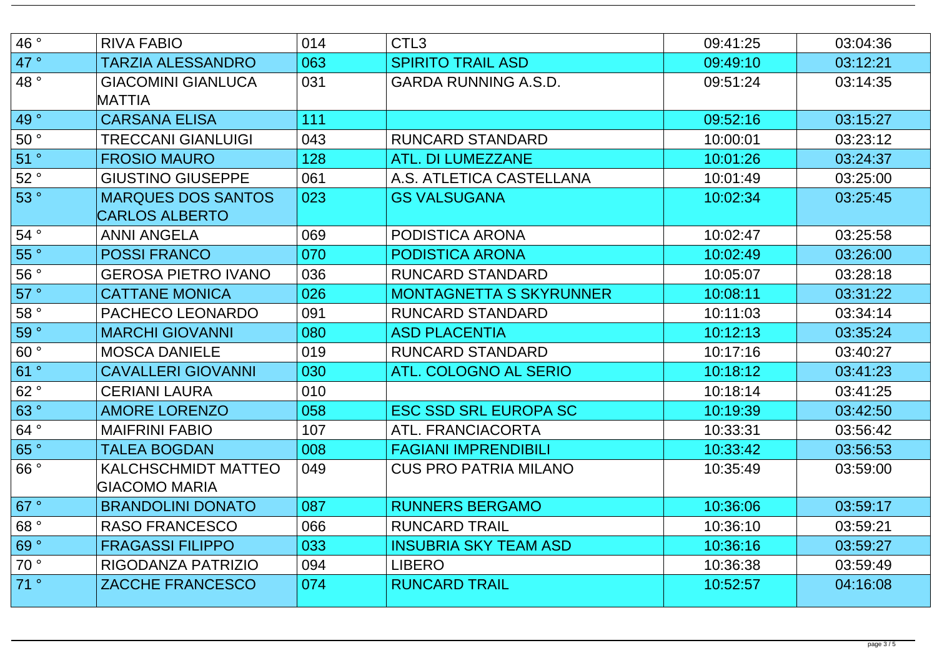| 46°  | <b>RIVA FABIO</b>                                  | 014 | CTL <sub>3</sub>               | 09:41:25 | 03:04:36 |
|------|----------------------------------------------------|-----|--------------------------------|----------|----------|
| 47°  | <b>TARZIA ALESSANDRO</b>                           | 063 | <b>SPIRITO TRAIL ASD</b>       | 09:49:10 | 03:12:21 |
| 48°  | <b>GIACOMINI GIANLUCA</b><br>MATTIA                | 031 | <b>GARDA RUNNING A.S.D.</b>    | 09:51:24 | 03:14:35 |
| 49°  | <b>CARSANA ELISA</b>                               | 111 |                                | 09:52:16 | 03:15:27 |
| 50°  | TRECCANI GIANLUIGI                                 | 043 | <b>RUNCARD STANDARD</b>        | 10:00:01 | 03:23:12 |
| 51 ° | <b>FROSIO MAURO</b>                                | 128 | ATL. DI LUMEZZANE              | 10:01:26 | 03:24:37 |
| 52°  | <b>GIUSTINO GIUSEPPE</b>                           | 061 | A.S. ATLETICA CASTELLANA       | 10:01:49 | 03:25:00 |
| 53°  | <b>MARQUES DOS SANTOS</b><br><b>CARLOS ALBERTO</b> | 023 | <b>GS VALSUGANA</b>            | 10:02:34 | 03:25:45 |
| 54°  | <b>ANNI ANGELA</b>                                 | 069 | <b>PODISTICA ARONA</b>         | 10:02:47 | 03:25:58 |
| 55°  | <b>POSSI FRANCO</b>                                | 070 | <b>PODISTICA ARONA</b>         | 10:02:49 | 03:26:00 |
| 56°  | <b>GEROSA PIETRO IVANO</b>                         | 036 | <b>RUNCARD STANDARD</b>        | 10:05:07 | 03:28:18 |
| 57°  | <b>CATTANE MONICA</b>                              | 026 | <b>MONTAGNETTA S SKYRUNNER</b> | 10:08:11 | 03:31:22 |
| 58°  | PACHECO LEONARDO                                   | 091 | <b>RUNCARD STANDARD</b>        | 10:11:03 | 03:34:14 |
| 59 ° | <b>MARCHI GIOVANNI</b>                             | 080 | <b>ASD PLACENTIA</b>           | 10:12:13 | 03:35:24 |
| 60°  | <b>MOSCA DANIELE</b>                               | 019 | <b>RUNCARD STANDARD</b>        | 10:17:16 | 03:40:27 |
| 61°  | <b>CAVALLERI GIOVANNI</b>                          | 030 | ATL. COLOGNO AL SERIO          | 10:18:12 | 03:41:23 |
| 62°  | <b>CERIANI LAURA</b>                               | 010 |                                | 10:18:14 | 03:41:25 |
| 63°  | <b>AMORE LORENZO</b>                               | 058 | <b>ESC SSD SRL EUROPA SC</b>   | 10:19:39 | 03:42:50 |
| 64°  | <b>MAIFRINI FABIO</b>                              | 107 | ATL. FRANCIACORTA              | 10:33:31 | 03:56:42 |
| 65°  | <b>TALEA BOGDAN</b>                                | 008 | <b>FAGIANI IMPRENDIBILI</b>    | 10:33:42 | 03:56:53 |
| 66°  | KALCHSCHMIDT MATTEO<br>GIACOMO MARIA               | 049 | <b>CUS PRO PATRIA MILANO</b>   | 10:35:49 | 03:59:00 |
| 67°  | <b>BRANDOLINI DONATO</b>                           | 087 | <b>RUNNERS BERGAMO</b>         | 10:36:06 | 03:59:17 |
| 68°  | RASO FRANCESCO                                     | 066 | <b>RUNCARD TRAIL</b>           | 10:36:10 | 03:59:21 |
| 69°  | <b>FRAGASSI FILIPPO</b>                            | 033 | <b>INSUBRIA SKY TEAM ASD</b>   | 10:36:16 | 03:59:27 |
| 70°  | RIGODANZA PATRIZIO                                 | 094 | <b>LIBERO</b>                  | 10:36:38 | 03:59:49 |
| 71°  | <b>ZACCHE FRANCESCO</b>                            | 074 | <b>RUNCARD TRAIL</b>           | 10:52:57 | 04:16:08 |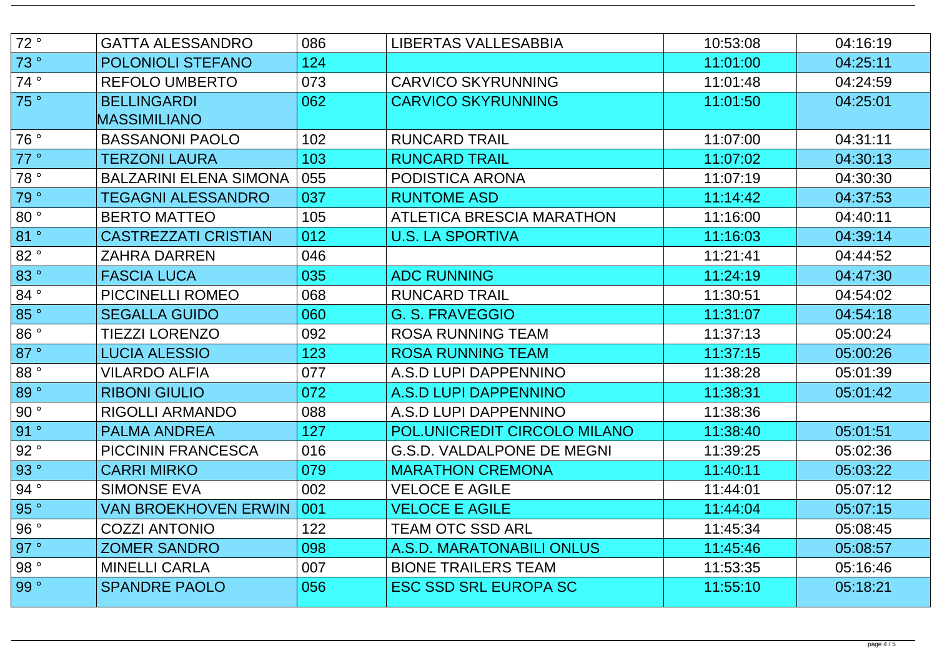| 72°           | <b>GATTA ALESSANDRO</b>       | 086 | <b>LIBERTAS VALLESABBIA</b>       | 10:53:08 | 04:16:19 |
|---------------|-------------------------------|-----|-----------------------------------|----------|----------|
| 73°           | <b>POLONIOLI STEFANO</b>      | 124 |                                   | 11:01:00 | 04:25:11 |
| 74°           | <b>REFOLO UMBERTO</b>         | 073 | <b>CARVICO SKYRUNNING</b>         | 11:01:48 | 04:24:59 |
| 75°           | <b>BELLINGARDI</b>            | 062 | <b>CARVICO SKYRUNNING</b>         | 11:01:50 | 04:25:01 |
|               | MASSIMILIANO                  |     |                                   |          |          |
| 76°           | <b>BASSANONI PAOLO</b>        | 102 | <b>RUNCARD TRAIL</b>              | 11:07:00 | 04:31:11 |
| 77°           | <b>TERZONI LAURA</b>          | 103 | <b>RUNCARD TRAIL</b>              | 11:07:02 | 04:30:13 |
| 78°           | <b>BALZARINI ELENA SIMONA</b> | 055 | PODISTICA ARONA                   | 11:07:19 | 04:30:30 |
| 79°           | <b>TEGAGNI ALESSANDRO</b>     | 037 | <b>RUNTOME ASD</b>                | 11:14:42 | 04:37:53 |
| 80°           | <b>BERTO MATTEO</b>           | 105 | <b>ATLETICA BRESCIA MARATHON</b>  | 11:16:00 | 04:40:11 |
| 81 °          | <b>CASTREZZATI CRISTIAN</b>   | 012 | <b>U.S. LA SPORTIVA</b>           | 11:16:03 | 04:39:14 |
| 82°           | <b>ZAHRA DARREN</b>           | 046 |                                   | 11:21:41 | 04:44:52 |
| 83°           | <b>FASCIA LUCA</b>            | 035 | <b>ADC RUNNING</b>                | 11:24:19 | 04:47:30 |
| 84°           | <b>PICCINELLI ROMEO</b>       | 068 | <b>RUNCARD TRAIL</b>              | 11:30:51 | 04:54:02 |
| 85°           | <b>SEGALLA GUIDO</b>          | 060 | <b>G. S. FRAVEGGIO</b>            | 11:31:07 | 04:54:18 |
| 86°           | <b>TIEZZI LORENZO</b>         | 092 | <b>ROSA RUNNING TEAM</b>          | 11:37:13 | 05:00:24 |
| 87°           | <b>LUCIA ALESSIO</b>          | 123 | <b>ROSA RUNNING TEAM</b>          | 11:37:15 | 05:00:26 |
| 88 $^{\circ}$ | <b>VILARDO ALFIA</b>          | 077 | A.S.D LUPI DAPPENNINO             | 11:38:28 | 05:01:39 |
| 89°           | <b>RIBONI GIULIO</b>          | 072 | A.S.D LUPI DAPPENNINO             | 11:38:31 | 05:01:42 |
| 90°           | RIGOLLI ARMANDO               | 088 | A.S.D LUPI DAPPENNINO             | 11:38:36 |          |
| 91°           | <b>PALMA ANDREA</b>           | 127 | POL.UNICREDIT CIRCOLO MILANO      | 11:38:40 | 05:01:51 |
| 92°           | <b>PICCININ FRANCESCA</b>     | 016 | <b>G.S.D. VALDALPONE DE MEGNI</b> | 11:39:25 | 05:02:36 |
| 93°           | <b>CARRI MIRKO</b>            | 079 | <b>MARATHON CREMONA</b>           | 11:40:11 | 05:03:22 |
| 94°           | <b>SIMONSE EVA</b>            | 002 | <b>VELOCE E AGILE</b>             | 11:44:01 | 05:07:12 |
| 95°           | <b>VAN BROEKHOVEN ERWIN</b>   | 001 | <b>VELOCE E AGILE</b>             | 11:44:04 | 05:07:15 |
| 96°           | <b>COZZI ANTONIO</b>          | 122 | TEAM OTC SSD ARL                  | 11:45:34 | 05:08:45 |
| 97°           | <b>ZOMER SANDRO</b>           | 098 | A.S.D. MARATONABILI ONLUS         | 11:45:46 | 05:08:57 |
| 98°           | <b>MINELLI CARLA</b>          | 007 | <b>BIONE TRAILERS TEAM</b>        | 11:53:35 | 05:16:46 |
| 99°           | <b>SPANDRE PAOLO</b>          | 056 | <b>ESC SSD SRL EUROPA SC</b>      | 11:55:10 | 05:18:21 |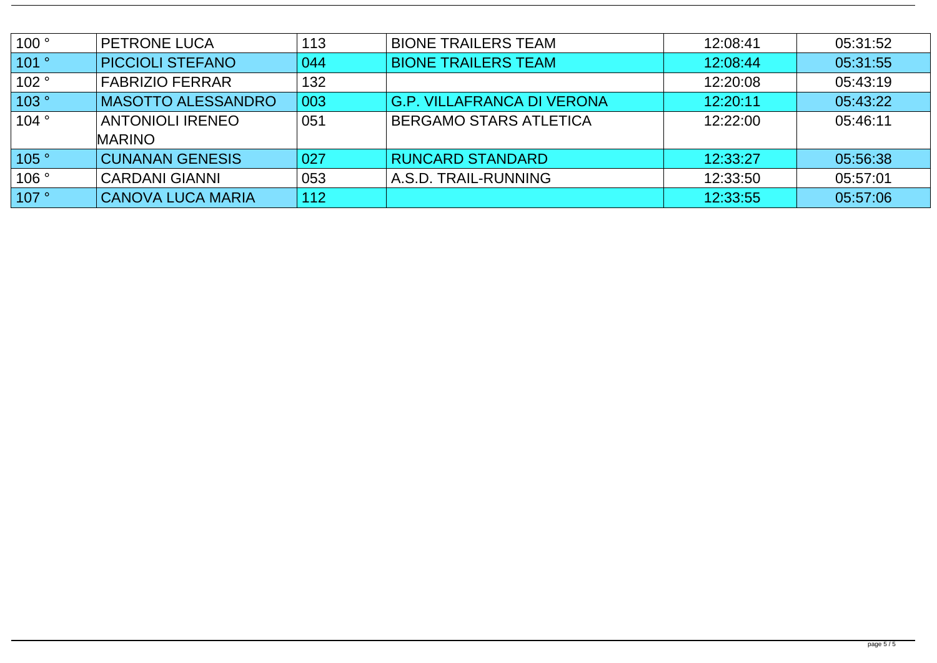| 100°                   | <b>PETRONE LUCA</b>       | 113 | <b>BIONE TRAILERS TEAM</b>        | 12:08:41 | 05:31:52 |
|------------------------|---------------------------|-----|-----------------------------------|----------|----------|
| 101°                   | <b>PICCIOLI STEFANO</b>   | 044 | <b>BIONE TRAILERS TEAM</b>        | 12:08:44 | 05:31:55 |
| 102°                   | <b>FABRIZIO FERRAR</b>    | 132 |                                   | 12:20:08 | 05:43:19 |
| 103°                   | <b>MASOTTO ALESSANDRO</b> | 003 | <b>G.P. VILLAFRANCA DI VERONA</b> | 12:20:11 | 05:43:22 |
| 104°                   | <b>ANTONIOLI IRENEO</b>   | 051 | <b>BERGAMO STARS ATLETICA</b>     | 12:22:00 | 05:46:11 |
|                        | <b>MARINO</b>             |     |                                   |          |          |
| 105°                   | <b>CUNANAN GENESIS</b>    | 027 | <b>RUNCARD STANDARD</b>           | 12:33:27 | 05:56:38 |
| 106°                   | <b>CARDANI GIANNI</b>     | 053 | A.S.D. TRAIL-RUNNING              | 12:33:50 | 05:57:01 |
| $\vert$ 107 $^{\circ}$ | <b>CANOVA LUCA MARIA</b>  | 112 |                                   | 12:33:55 | 05:57:06 |